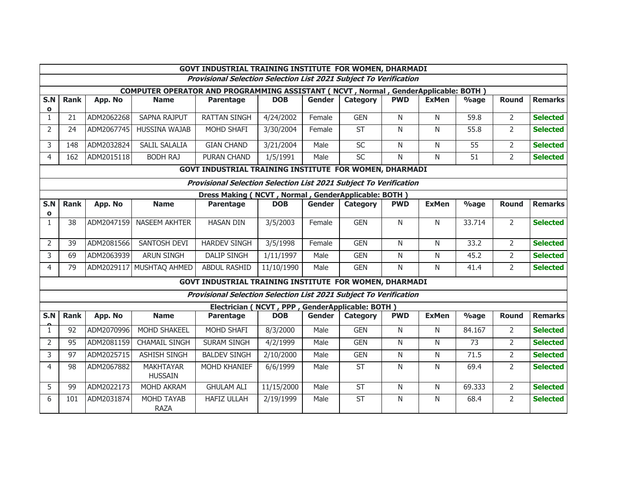| GOVT INDUSTRIAL TRAINING INSTITUTE FOR WOMEN, DHARMADI                             |                                                                          |            |                                    |                                                                          |            |               |                          |                |                |                 |                |                 |  |
|------------------------------------------------------------------------------------|--------------------------------------------------------------------------|------------|------------------------------------|--------------------------------------------------------------------------|------------|---------------|--------------------------|----------------|----------------|-----------------|----------------|-----------------|--|
| <b>Provisional Selection Selection List 2021 Subject To Verification</b>           |                                                                          |            |                                    |                                                                          |            |               |                          |                |                |                 |                |                 |  |
| COMPUTER OPERATOR AND PROGRAMMING ASSISTANT (NCVT, Normal, GenderApplicable: BOTH) |                                                                          |            |                                    |                                                                          |            |               |                          |                |                |                 |                |                 |  |
| S.N<br>$\mathbf{o}$                                                                | <b>Rank</b>                                                              | App. No    | <b>Name</b>                        | <b>Parentage</b>                                                         | <b>DOB</b> | <b>Gender</b> | Category                 | <b>PWD</b>     | <b>ExMen</b>   | $\%$ age        | <b>Round</b>   | <b>Remarks</b>  |  |
| $\mathbf{1}$                                                                       | 21                                                                       | ADM2062268 | <b>SAPNA RAJPUT</b>                | <b>RATTAN SINGH</b>                                                      | 4/24/2002  | Female        | <b>GEN</b>               | N              | N              | 59.8            | $\overline{2}$ | <b>Selected</b> |  |
| $\overline{2}$                                                                     | 24                                                                       | ADM2067745 | HUSSINA WAJAB                      | MOHD SHAFI                                                               | 3/30/2004  | Female        | <b>ST</b>                | N              | N              | 55.8            | $\overline{2}$ | <b>Selected</b> |  |
| 3                                                                                  | 148                                                                      | ADM2032824 | <b>SALIL SALALIA</b>               | <b>GIAN CHAND</b>                                                        | 3/21/2004  | Male          | SC                       | N              | N              | $\overline{55}$ | $\overline{2}$ | <b>Selected</b> |  |
| 4                                                                                  | 162                                                                      | ADM2015118 | <b>BODH RAJ</b>                    | PURAN CHAND                                                              | 1/5/1991   | Male          | SC                       | N              | $\mathsf{N}$   | 51              | $\overline{2}$ | <b>Selected</b> |  |
|                                                                                    | GOVT INDUSTRIAL TRAINING INSTITUTE FOR WOMEN, DHARMADI                   |            |                                    |                                                                          |            |               |                          |                |                |                 |                |                 |  |
|                                                                                    | <b>Provisional Selection Selection List 2021 Subject To Verification</b> |            |                                    |                                                                          |            |               |                          |                |                |                 |                |                 |  |
| Dress Making (NCVT, Normal, GenderApplicable: BOTH)                                |                                                                          |            |                                    |                                                                          |            |               |                          |                |                |                 |                |                 |  |
| S.N                                                                                | <b>Rank</b>                                                              | App. No    | <b>Name</b>                        | <b>Parentage</b>                                                         | <b>DOB</b> | <b>Gender</b> | <b>Category</b>          | <b>PWD</b>     | <b>ExMen</b>   | $\%$ age        | <b>Round</b>   | <b>Remarks</b>  |  |
| $\mathbf{o}$<br>$\mathbf{1}$                                                       | 38                                                                       | ADM2047159 | NASEEM AKHTER                      | <b>HASAN DIN</b>                                                         | 3/5/2003   | Female        | <b>GEN</b>               | N              | N.             | 33.714          | $\overline{2}$ | <b>Selected</b> |  |
|                                                                                    |                                                                          |            |                                    |                                                                          |            |               |                          |                |                |                 |                |                 |  |
| $\overline{2}$                                                                     | 39                                                                       | ADM2081566 | SANTOSH DEVI                       | <b>HARDEV SINGH</b>                                                      | 3/5/1998   | Female        | <b>GEN</b>               | N              | N              | 33.2            | $\overline{2}$ | <b>Selected</b> |  |
| 3                                                                                  | 69                                                                       | ADM2063939 | <b>ARUN SINGH</b>                  | <b>DALIP SINGH</b>                                                       | 1/11/1997  | Male          | <b>GEN</b>               | N              | $\overline{N}$ | 45.2            | $\overline{2}$ | <b>Selected</b> |  |
| 4                                                                                  | 79                                                                       |            | ADM2029117 MUSHTAQ AHMED           | <b>ABDUL RASHID</b>                                                      | 11/10/1990 | Male          | <b>GEN</b>               | $\mathsf{N}$   | $\mathsf{N}$   | 41.4            | $\overline{2}$ | <b>Selected</b> |  |
|                                                                                    | GOVT INDUSTRIAL TRAINING INSTITUTE FOR WOMEN, DHARMADI                   |            |                                    |                                                                          |            |               |                          |                |                |                 |                |                 |  |
|                                                                                    |                                                                          |            |                                    | <b>Provisional Selection Selection List 2021 Subject To Verification</b> |            |               |                          |                |                |                 |                |                 |  |
|                                                                                    |                                                                          |            |                                    | Electrician (NCVT, PPP, GenderApplicable: BOTH)                          |            |               |                          |                |                |                 |                |                 |  |
| S.N                                                                                | <b>Rank</b>                                                              | App. No    | <b>Name</b>                        | <b>Parentage</b>                                                         | <b>DOB</b> | <b>Gender</b> | <b>Category</b>          | <b>PWD</b>     | <b>ExMen</b>   | $\%$ age        | <b>Round</b>   | <b>Remarks</b>  |  |
| $\mathbf{1}$                                                                       | 92                                                                       | ADM2070996 | MOHD SHAKEEL                       | MOHD SHAFI                                                               | 8/3/2000   | Male          | <b>GEN</b>               | $\overline{N}$ | $\mathsf{N}$   | 84.167          | $\overline{2}$ | <b>Selected</b> |  |
| $\overline{2}$                                                                     | 95                                                                       | ADM2081159 | <b>CHAMAIL SINGH</b>               | <b>SURAM SINGH</b>                                                       | 4/2/1999   | Male          | <b>GEN</b>               | $\mathsf{N}$   | N              | 73              | $\overline{2}$ | <b>Selected</b> |  |
| 3                                                                                  | 97                                                                       | ADM2025715 | <b>ASHISH SINGH</b>                | <b>BALDEV SINGH</b>                                                      | 2/10/2000  | Male          | <b>GEN</b>               | $\overline{N}$ | $\mathsf{N}$   | 71.5            | $\overline{2}$ | <b>Selected</b> |  |
| 4                                                                                  | 98                                                                       | ADM2067882 | <b>MAKHTAYAR</b><br><b>HUSSAIN</b> | MOHD KHANIEF                                                             | 6/6/1999   | Male          | <b>ST</b>                | N              | $\mathsf{N}$   | 69.4            | $\overline{2}$ | <b>Selected</b> |  |
| 5                                                                                  | 99                                                                       | ADM2022173 | MOHD AKRAM                         | <b>GHULAM ALI</b>                                                        | 11/15/2000 | Male          | $\overline{\mathsf{ST}}$ | N              | $\overline{N}$ | 69.333          | $\overline{2}$ | <b>Selected</b> |  |
| 6                                                                                  | 101                                                                      | ADM2031874 | MOHD TAYAB<br><b>RAZA</b>          | <b>HAFIZ ULLAH</b>                                                       | 2/19/1999  | Male          | <b>ST</b>                | N              | N              | 68.4            | $\overline{2}$ | <b>Selected</b> |  |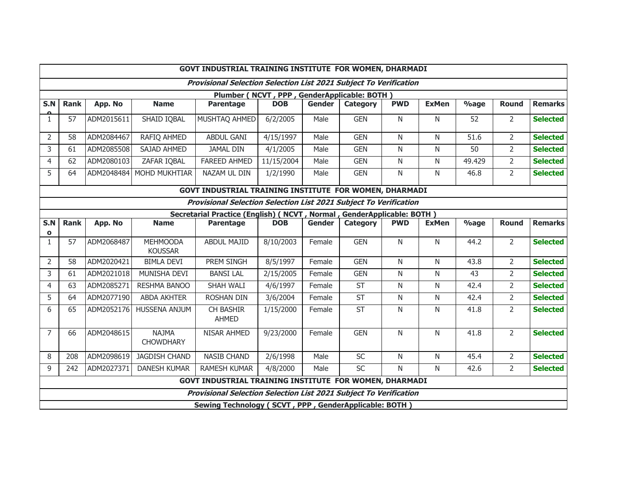| GOVT INDUSTRIAL TRAINING INSTITUTE FOR WOMEN, DHARMADI                   |                                                        |            |                                  |                                                       |            |               |                 |              |                |                 |                |                 |
|--------------------------------------------------------------------------|--------------------------------------------------------|------------|----------------------------------|-------------------------------------------------------|------------|---------------|-----------------|--------------|----------------|-----------------|----------------|-----------------|
| <b>Provisional Selection Selection List 2021 Subject To Verification</b> |                                                        |            |                                  |                                                       |            |               |                 |              |                |                 |                |                 |
| Plumber (NCVT, PPP, GenderApplicable: BOTH)                              |                                                        |            |                                  |                                                       |            |               |                 |              |                |                 |                |                 |
| S.N                                                                      | <b>Rank</b>                                            | App. No    | <b>Name</b>                      | <b>Parentage</b>                                      | <b>DOB</b> | <b>Gender</b> | <b>Category</b> | <b>PWD</b>   | <b>ExMen</b>   | $\%$ age        | <b>Round</b>   | <b>Remarks</b>  |
| $\mathbf{1}$                                                             | 57                                                     | ADM2015611 | SHAID IQBAL                      | MUSHTAQ AHMED                                         | 6/2/2005   | Male          | <b>GEN</b>      | $\mathsf{N}$ | $\mathsf{N}$   | 52              | $\overline{2}$ | <b>Selected</b> |
| $\overline{2}$                                                           | 58                                                     | ADM2084467 | <b>RAFIQ AHMED</b>               | <b>ABDUL GANI</b>                                     | 4/15/1997  | Male          | <b>GEN</b>      | N            | N              | 51.6            | $\overline{2}$ | <b>Selected</b> |
| 3                                                                        | 61                                                     | ADM2085508 | SAJAD AHMED                      | <b>JAMAL DIN</b>                                      | 4/1/2005   | Male          | <b>GEN</b>      | N            | $\mathsf{N}$   | $\overline{50}$ | $\overline{2}$ | <b>Selected</b> |
| 4                                                                        | 62                                                     | ADM2080103 | ZAFAR IQBAL                      | <b>FAREED AHMED</b>                                   | 11/15/2004 | Male          | <b>GEN</b>      | N            | N              | 49.429          | $\overline{2}$ | <b>Selected</b> |
| 5                                                                        | 64                                                     |            | ADM2048484 MOHD MUKHTIAR         | NAZAM UL DIN                                          | 1/2/1990   | Male          | <b>GEN</b>      | N            | N              | 46.8            | $\overline{2}$ | <b>Selected</b> |
| <b>GOVT INDUSTRIAL TRAINING INSTITUTE FOR WOMEN, DHARMADI</b>            |                                                        |            |                                  |                                                       |            |               |                 |              |                |                 |                |                 |
| <b>Provisional Selection Selection List 2021 Subject To Verification</b> |                                                        |            |                                  |                                                       |            |               |                 |              |                |                 |                |                 |
| Secretarial Practice (English) ( NCVT, Normal, GenderApplicable: BOTH)   |                                                        |            |                                  |                                                       |            |               |                 |              |                |                 |                |                 |
| S.N                                                                      | <b>Rank</b>                                            | App. No    | <b>Name</b>                      | <b>Parentage</b>                                      | <b>DOB</b> | <b>Gender</b> | <b>Category</b> | <b>PWD</b>   | <b>ExMen</b>   | $%$ age         | <b>Round</b>   | <b>Remarks</b>  |
| $\mathbf{o}$                                                             | 57                                                     | ADM2068487 | <b>MEHMOODA</b>                  | <b>ABDUL MAJID</b>                                    | 8/10/2003  |               | <b>GEN</b>      | N            |                | 44.2            | $\overline{2}$ | <b>Selected</b> |
| $\mathbf{1}$                                                             |                                                        |            | <b>KOUSSAR</b>                   |                                                       |            | Female        |                 |              | N              |                 |                |                 |
| $\overline{2}$                                                           | 58                                                     | ADM2020421 | <b>BIMLA DEVI</b>                | PREM SINGH                                            | 8/5/1997   | Female        | <b>GEN</b>      | N            | $\overline{N}$ | 43.8            | $\overline{2}$ | <b>Selected</b> |
| 3                                                                        | 61                                                     | ADM2021018 | MUNISHA DEVI                     | <b>BANSI LAL</b>                                      | 2/15/2005  | Female        | <b>GEN</b>      | N            | N              | 43              | $\overline{2}$ | <b>Selected</b> |
| $\overline{4}$                                                           | 63                                                     | ADM2085271 | RESHMA BANOO                     | SHAH WALI                                             | 4/6/1997   | Female        | <b>ST</b>       | N            | N              | 42.4            | $\overline{2}$ | <b>Selected</b> |
| 5                                                                        | 64                                                     | ADM2077190 | <b>ABDA AKHTER</b>               | <b>ROSHAN DIN</b>                                     | 3/6/2004   | Female        | ST              | N            | N              | 42.4            | $\overline{2}$ | <b>Selected</b> |
| 6                                                                        | 65                                                     | ADM2052176 | <b>HUSSENA ANJUM</b>             | CH BASHIR<br><b>AHMED</b>                             | 1/15/2000  | Female        | <b>ST</b>       | N            | N              | 41.8            | $\overline{2}$ | <b>Selected</b> |
| $\overline{7}$                                                           | 66                                                     | ADM2048615 | <b>NAJMA</b><br><b>CHOWDHARY</b> | NISAR AHMED                                           | 9/23/2000  | Female        | <b>GEN</b>      | $\mathsf{N}$ | N              | 41.8            | $\overline{2}$ | <b>Selected</b> |
| 8                                                                        | 208                                                    | ADM2098619 | <b>JAGDISH CHAND</b>             | <b>NASIB CHAND</b>                                    | 2/6/1998   | Male          | SC              | N            | N              | 45.4            | $\overline{2}$ | <b>Selected</b> |
| 9                                                                        | 242                                                    | ADM2027371 | <b>DANESH KUMAR</b>              | <b>RAMESH KUMAR</b>                                   | 4/8/2000   | Male          | SC              | N            | N              | 42.6            | $\overline{2}$ | <b>Selected</b> |
|                                                                          | GOVT INDUSTRIAL TRAINING INSTITUTE FOR WOMEN, DHARMADI |            |                                  |                                                       |            |               |                 |              |                |                 |                |                 |
| <b>Provisional Selection Selection List 2021 Subject To Verification</b> |                                                        |            |                                  |                                                       |            |               |                 |              |                |                 |                |                 |
|                                                                          |                                                        |            |                                  | Sewing Technology (SCVT, PPP, GenderApplicable: BOTH) |            |               |                 |              |                |                 |                |                 |